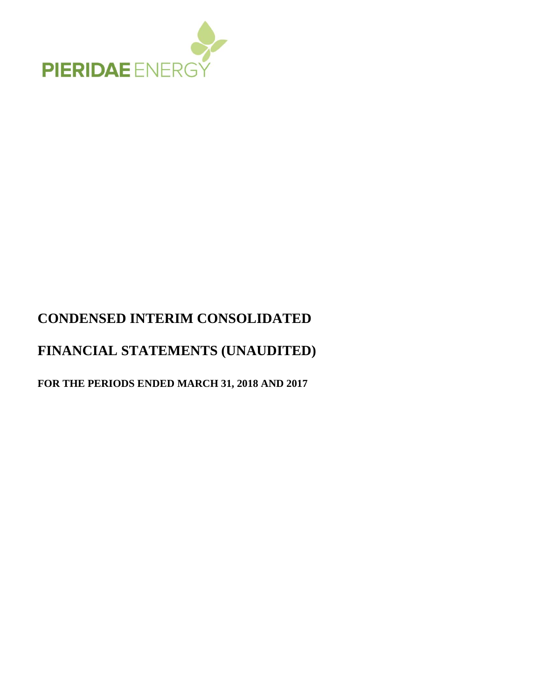

# **CONDENSED INTERIM CONSOLIDATED**

# **FINANCIAL STATEMENTS (UNAUDITED)**

**FOR THE PERIODS ENDED MARCH 31, 2018 AND 2017**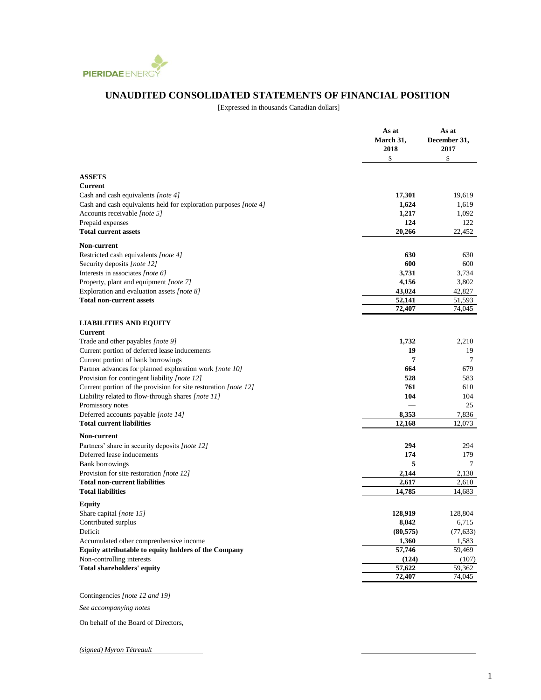

## **UNAUDITED CONSOLIDATED STATEMENTS OF FINANCIAL POSITION**

[Expressed in thousands Canadian dollars]

|                                                                  | As at<br>March 31,<br>2018<br>\$ | As at<br>December 31,<br>2017<br>\$ |
|------------------------------------------------------------------|----------------------------------|-------------------------------------|
| <b>ASSETS</b>                                                    |                                  |                                     |
| <b>Current</b>                                                   |                                  |                                     |
| Cash and cash equivalents [note 4]                               | 17,301                           | 19.619                              |
| Cash and cash equivalents held for exploration purposes [note 4] | 1,624                            | 1,619                               |
| Accounts receivable [note 5]                                     | 1,217                            | 1,092                               |
| Prepaid expenses                                                 | 124                              | 122                                 |
| <b>Total current assets</b>                                      | 20,266                           | 22,452                              |
| Non-current                                                      |                                  |                                     |
| Restricted cash equivalents [note 4]                             | 630                              | 630                                 |
| Security deposits [note 12]                                      | 600                              | 600                                 |
| Interests in associates [note 6]                                 | 3,731                            | 3,734                               |
| Property, plant and equipment [note 7]                           | 4,156                            | 3,802                               |
| Exploration and evaluation assets [note 8]                       | 43,024                           | 42,827                              |
| <b>Total non-current assets</b>                                  | 52,141<br>72,407                 | 51,593<br>74,045                    |
|                                                                  |                                  |                                     |
| <b>LIABILITIES AND EQUITY</b><br><b>Current</b>                  |                                  |                                     |
| Trade and other payables [note 9]                                | 1,732                            | 2,210                               |
| Current portion of deferred lease inducements                    | 19                               | 19                                  |
| Current portion of bank borrowings                               | 7                                | $\tau$                              |
| Partner advances for planned exploration work [note 10]          | 664                              | 679                                 |
| Provision for contingent liability [note 12]                     | 528                              | 583                                 |
| Current portion of the provision for site restoration [note 12]  | 761                              | 610                                 |
| Liability related to flow-through shares [note 11]               | 104                              | 104                                 |
| Promissory notes                                                 |                                  | 25                                  |
| Deferred accounts payable [note 14]                              | 8,353                            | 7,836                               |
| <b>Total current liabilities</b>                                 | 12,168                           | 12,073                              |
| <b>Non-current</b>                                               |                                  |                                     |
| Partners' share in security deposits [note 12]                   | 294                              | 294                                 |
| Deferred lease inducements                                       | 174                              | 179                                 |
| <b>Bank borrowings</b>                                           | 5                                | $\tau$                              |
| Provision for site restoration <i>[note 12]</i>                  | 2,144                            | 2,130                               |
| <b>Total non-current liabilities</b>                             | 2,617                            | 2,610                               |
| <b>Total liabilities</b>                                         | 14,785                           | 14,683                              |
| <b>Equity</b>                                                    |                                  |                                     |
| Share capital [note $15$ ]                                       | 128,919                          | 128,804                             |
| Contributed surplus                                              | 8,042                            | 6,715                               |
| Deficit                                                          | (80, 575)                        | (77, 633)                           |
| Accumulated other comprenhensive income                          | 1,360                            | 1,583                               |
| <b>Equity attributable to equity holders of the Company</b>      | 57,746                           | 59,469                              |
| Non-controlling interests                                        | (124)                            | (107)                               |
| <b>Total shareholders' equity</b>                                | 57,622<br>72,407                 | 59,362<br>74,045                    |
|                                                                  |                                  |                                     |

Contingencies *[note 12 and 19]*

*See accompanying notes*

On behalf of the Board of Directors,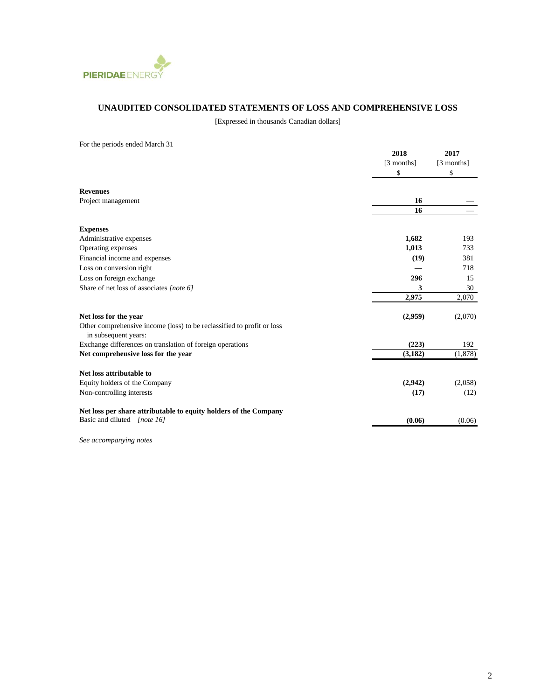

### **UNAUDITED CONSOLIDATED STATEMENTS OF LOSS AND COMPREHENSIVE LOSS**

[Expressed in thousands Canadian dollars]

| For the periods ended March 31                                         |            |            |
|------------------------------------------------------------------------|------------|------------|
|                                                                        | 2018       | 2017       |
|                                                                        | [3 months] | [3 months] |
|                                                                        | \$         | \$         |
|                                                                        |            |            |
| <b>Revenues</b>                                                        |            |            |
| Project management                                                     | 16         |            |
|                                                                        | 16         |            |
| <b>Expenses</b>                                                        |            |            |
| Administrative expenses                                                | 1,682      | 193        |
| Operating expenses                                                     | 1,013      | 733        |
| Financial income and expenses                                          | (19)       | 381        |
| Loss on conversion right                                               |            | 718        |
| Loss on foreign exchange                                               | 296        | 15         |
| Share of net loss of associates [note 6]                               | 3          | 30         |
|                                                                        | 2,975      | 2,070      |
| Net loss for the year                                                  | (2,959)    | (2,070)    |
| Other comprehensive income (loss) to be reclassified to profit or loss |            |            |
| in subsequent years:                                                   |            |            |
| Exchange differences on translation of foreign operations              | (223)      | 192        |
| Net comprehensive loss for the year                                    | (3,182)    | (1,878)    |
| Net loss attributable to                                               |            |            |
| Equity holders of the Company                                          | (2,942)    | (2,058)    |
| Non-controlling interests                                              | (17)       | (12)       |
| Net loss per share attributable to equity holders of the Company       |            |            |
| Basic and diluted [note 16]                                            | (0.06)     | (0.06)     |
|                                                                        |            |            |

*See accompanying notes*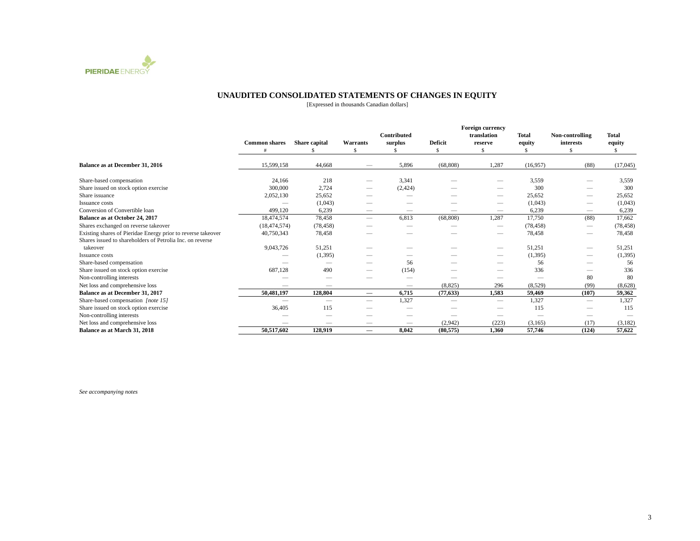

#### **UNAUDITED CONSOLIDATED STATEMENTS OF CHANGES IN EQUITY**

[Expressed in thousands Canadian dollars]

|                                                              |                      |               |                          |                        | <b>Foreign currency</b> |                        |              |                              |                        |
|--------------------------------------------------------------|----------------------|---------------|--------------------------|------------------------|-------------------------|------------------------|--------------|------------------------------|------------------------|
|                                                              | <b>Common shares</b> | Share capital | <b>Warrants</b>          | Contributed<br>surplus | <b>Deficit</b>          | translation<br>reserve | <b>Total</b> | Non-controlling<br>interests | <b>Total</b><br>equity |
|                                                              |                      |               |                          |                        | <sup>\$</sup>           | \$.                    | equity       |                              | S.                     |
|                                                              |                      |               |                          |                        |                         |                        |              |                              |                        |
| Balance as at December 31, 2016                              | 15,599,158           | 44,668        |                          | 5,896                  | (68, 808)               | 1,287                  | (16,957)     | (88)                         | (17,045)               |
| Share-based compensation                                     | 24,166               | 218           |                          | 3,341                  |                         |                        | 3,559        |                              | 3,559                  |
| Share issued on stock option exercise                        | 300,000              | 2.724         | –                        | (2, 424)               |                         |                        | 300          |                              | 300                    |
| Share issuance                                               | 2,052,130            | 25,652        |                          | –                      |                         |                        | 25,652       |                              | 25,652                 |
| Issuance costs                                               |                      | (1,043)       |                          |                        |                         |                        | (1,043)      |                              | (1,043)                |
| Conversion of Convertible loan                               | 499.120              | 6.239         | $\overline{\phantom{0}}$ | —                      |                         | $\qquad \qquad$        | 6,239        | $\qquad \qquad$              | 6,239                  |
| Balance as at October 24, 2017                               | 18.474.574           | 78,458        | $\overline{\phantom{m}}$ | 6,813                  | (68, 808)               | 1,287                  | 17,750       | (88)                         | 17.662                 |
| Shares exchanged on reverse takeover                         | (18, 474, 574)       | (78, 458)     |                          |                        |                         |                        | (78, 458)    |                              | (78, 458)              |
| Existing shares of Pieridae Energy prior to reverse takeover | 40,750,343           | 78,458        |                          |                        |                         |                        | 78,458       |                              | 78,458                 |
| Shares issued to shareholders of Petrolia Inc. on reverse    |                      |               |                          |                        |                         |                        |              |                              |                        |
| takeover                                                     | 9,043,726            | 51,251        |                          |                        |                         |                        | 51,251       | $\overline{\phantom{a}}$     | 51,251                 |
| Issuance costs                                               |                      | (1,395)       |                          |                        |                         |                        | (1, 395)     |                              | (1,395)                |
| Share-based compensation                                     |                      |               |                          | 56                     |                         |                        | 56           |                              | 56                     |
| Share issued on stock option exercise                        | 687,128              | 490           | –                        | (154)                  |                         |                        | 336          |                              | 336                    |
| Non-controlling interests                                    |                      |               |                          |                        |                         |                        |              | 80                           | 80                     |
| Net loss and comprehensive loss                              |                      |               |                          |                        | (8,825)                 | 296                    | (8,529)      | (99)                         | (8,628)                |
| Balance as at December 31, 2017                              | 50,481,197           | 128,804       | $\overline{\phantom{m}}$ | 6,715                  | (77, 633)               | 1,583                  | 59,469       | (107)                        | 59,362                 |
| Share-based compensation [note 15]                           |                      |               | $\overline{\phantom{0}}$ | 1,327                  | —                       | $\qquad \qquad$        | 1,327        |                              | 1,327                  |
| Share issued on stock option exercise                        | 36,405               | 115           |                          |                        |                         |                        | 115          |                              | 115                    |
| Non-controlling interests                                    |                      |               |                          |                        |                         |                        |              |                              |                        |
| Net loss and comprehensive loss                              |                      | --            | $\overline{\phantom{0}}$ | —                      | (2,942)                 | (223)                  | (3,165)      | (17)                         | (3,182)                |
| Balance as at March 31, 2018                                 | 50,517,602           | 128,919       |                          | 8.042                  | (80.575)                | 1.360                  | 57,746       | (124)                        | 57,622                 |

*See accompanying notes*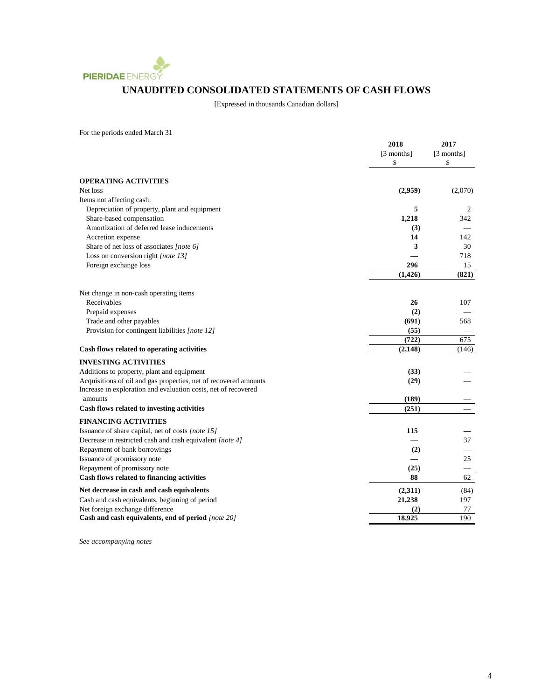

## **UNAUDITED CONSOLIDATED STATEMENTS OF CASH FLOWS**

[Expressed in thousands Canadian dollars]

For the periods ended March 31

|                                                                  | 2018       | 2017       |
|------------------------------------------------------------------|------------|------------|
|                                                                  | [3 months] | [3 months] |
|                                                                  | \$         | \$         |
| <b>OPERATING ACTIVITIES</b>                                      |            |            |
| Net loss                                                         | (2,959)    | (2,070)    |
| Items not affecting cash:                                        |            |            |
| Depreciation of property, plant and equipment                    | 5          | 2          |
| Share-based compensation                                         | 1,218      | 342        |
| Amortization of deferred lease inducements                       | (3)        |            |
| Accretion expense                                                | 14         | 142        |
| Share of net loss of associates [note 6]                         | 3          | 30         |
| Loss on conversion right [note 13]                               |            | 718        |
| Foreign exchange loss                                            | 296        | 15         |
|                                                                  | (1, 426)   | (821)      |
| Net change in non-cash operating items                           |            |            |
| Receivables                                                      | 26         | 107        |
| Prepaid expenses                                                 | (2)        |            |
| Trade and other payables                                         | (691)      | 568        |
| Provision for contingent liabilities [note 12]                   | (55)       |            |
|                                                                  | (722)      | 675        |
| Cash flows related to operating activities                       | (2, 148)   | (146)      |
| <b>INVESTING ACTIVITIES</b>                                      |            |            |
| Additions to property, plant and equipment                       | (33)       |            |
| Acquisitions of oil and gas properties, net of recovered amounts | (29)       |            |
| Increase in exploration and evaluation costs, net of recovered   |            |            |
| amounts                                                          | (189)      |            |
| Cash flows related to investing activities                       | (251)      |            |
| <b>FINANCING ACTIVITIES</b>                                      |            |            |
| Issuance of share capital, net of costs [note 15]                | 115        |            |
| Decrease in restricted cash and cash equivalent [note 4]         |            | 37         |
| Repayment of bank borrowings                                     | (2)        |            |
| Issuance of promissory note                                      |            | 25         |
| Repayment of promissory note                                     | (25)       |            |
| Cash flows related to financing activities                       | 88         | 62         |
| Net decrease in cash and cash equivalents                        | (2,311)    | (84)       |
| Cash and cash equivalents, beginning of period                   | 21,238     | 197        |
| Net foreign exchange difference                                  | (2)        | 77         |
| Cash and cash equivalents, end of period [note 20]               | 18,925     | 190        |

*See accompanying notes*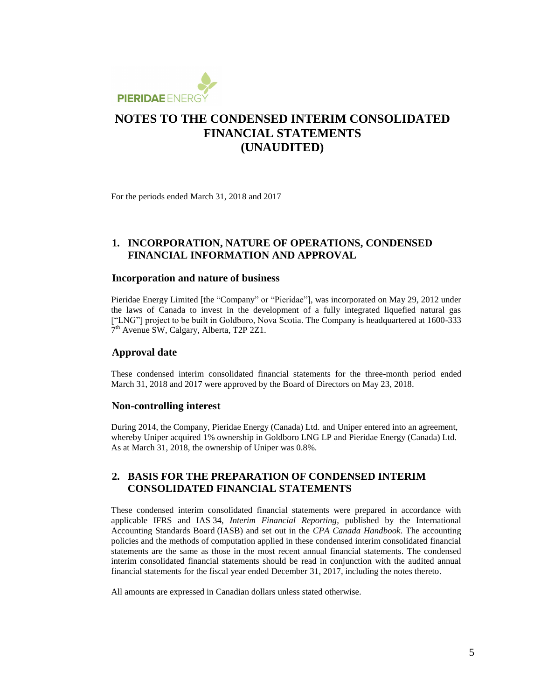

For the periods ended March 31, 2018 and 2017

### **1. INCORPORATION, NATURE OF OPERATIONS, CONDENSED FINANCIAL INFORMATION AND APPROVAL**

### **Incorporation and nature of business**

Pieridae Energy Limited [the "Company" or "Pieridae"], was incorporated on May 29, 2012 under the laws of Canada to invest in the development of a fully integrated liquefied natural gas ["LNG"] project to be built in Goldboro, Nova Scotia. The Company is headquartered at 1600-333 7<sup>th</sup> Avenue SW, Calgary, Alberta, T2P 2Z1.

### **Approval date**

These condensed interim consolidated financial statements for the three-month period ended March 31, 2018 and 2017 were approved by the Board of Directors on May 23, 2018.

#### **Non-controlling interest**

During 2014, the Company, Pieridae Energy (Canada) Ltd. and Uniper entered into an agreement, whereby Uniper acquired 1% ownership in Goldboro LNG LP and Pieridae Energy (Canada) Ltd. As at March 31, 2018, the ownership of Uniper was 0.8%.

### **2. BASIS FOR THE PREPARATION OF CONDENSED INTERIM CONSOLIDATED FINANCIAL STATEMENTS**

These condensed interim consolidated financial statements were prepared in accordance with applicable IFRS and IAS 34, *Interim Financial Reporting*, published by the International Accounting Standards Board (IASB) and set out in the *CPA Canada Handbook*. The accounting policies and the methods of computation applied in these condensed interim consolidated financial statements are the same as those in the most recent annual financial statements. The condensed interim consolidated financial statements should be read in conjunction with the audited annual financial statements for the fiscal year ended December 31, 2017, including the notes thereto.

All amounts are expressed in Canadian dollars unless stated otherwise.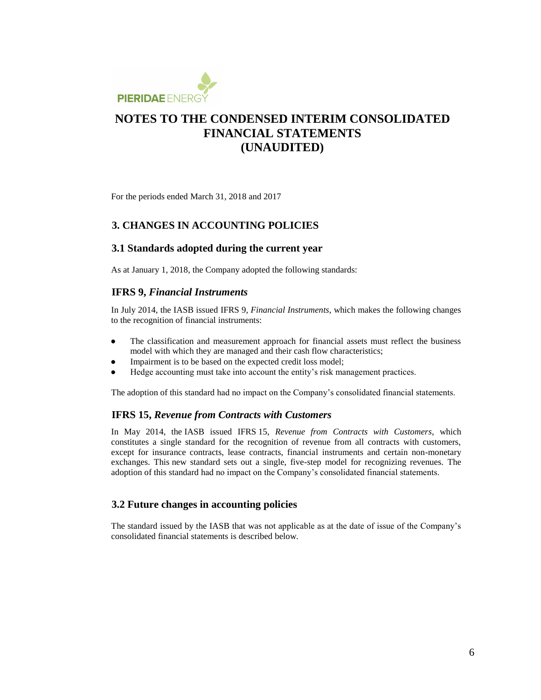

For the periods ended March 31, 2018 and 2017

### **3. CHANGES IN ACCOUNTING POLICIES**

#### **3.1 Standards adopted during the current year**

As at January 1, 2018, the Company adopted the following standards:

### **IFRS 9,** *Financial Instruments*

In July 2014, the IASB issued IFRS 9, *Financial Instruments*, which makes the following changes to the recognition of financial instruments:

- The classification and measurement approach for financial assets must reflect the business model with which they are managed and their cash flow characteristics;
- Impairment is to be based on the expected credit loss model;
- Hedge accounting must take into account the entity's risk management practices.

The adoption of this standard had no impact on the Company's consolidated financial statements.

#### **IFRS 15,** *Revenue from Contracts with Customers*

In May 2014, the IASB issued IFRS 15, *Revenue from Contracts with Customers*, which constitutes a single standard for the recognition of revenue from all contracts with customers, except for insurance contracts, lease contracts, financial instruments and certain non-monetary exchanges. This new standard sets out a single, five-step model for recognizing revenues. The adoption of this standard had no impact on the Company's consolidated financial statements.

#### **3.2 Future changes in accounting policies**

The standard issued by the IASB that was not applicable as at the date of issue of the Company's consolidated financial statements is described below.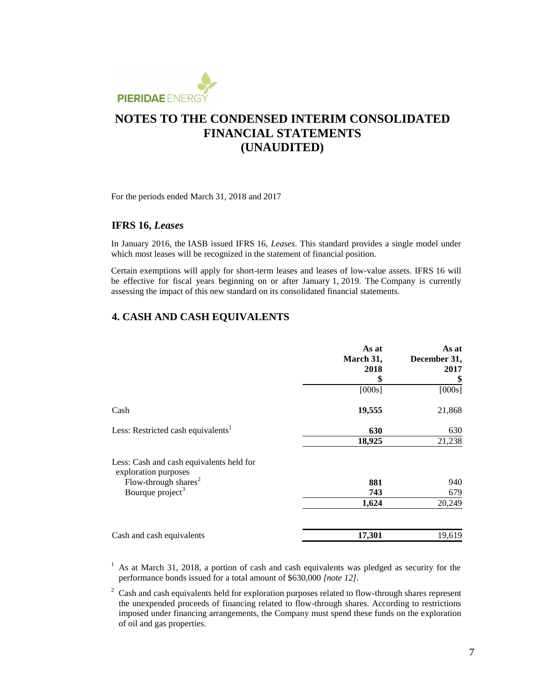

For the periods ended March 31, 2018 and 2017

#### **IFRS 16,** *Leases*

In January 2016, the IASB issued IFRS 16, *Leases*. This standard provides a single model under which most leases will be recognized in the statement of financial position.

Certain exemptions will apply for short-term leases and leases of low-value assets. IFRS 16 will be effective for fiscal years beginning on or after January 1, 2019. The Company is currently assessing the impact of this new standard on its consolidated financial statements.

### **4. CASH AND CASH EQUIVALENTS**

|                                                                  | As at<br>March 31,<br>2018<br>\$ | As at<br>December 31,<br>2017<br>\$ |
|------------------------------------------------------------------|----------------------------------|-------------------------------------|
|                                                                  | [000s]                           | [000s]                              |
| Cash                                                             | 19,555                           | 21,868                              |
| Less: Restricted cash equivalents <sup>1</sup>                   | 630                              | 630                                 |
|                                                                  | 18,925                           | 21,238                              |
| Less: Cash and cash equivalents held for<br>exploration purposes |                                  |                                     |
| Flow-through shares <sup>2</sup>                                 | 881                              | 940                                 |
| Bourque project <sup>3</sup>                                     | 743                              | 679                                 |
|                                                                  | 1,624                            | 20,249                              |
| Cash and cash equivalents                                        | 17,301                           | 19,619                              |

 $1$  As at March 31, 2018, a portion of cash and cash equivalents was pledged as security for the performance bonds issued for a total amount of \$630,000 *[note 12]*.

 $2 \text{ Cash}$  and cash equivalents held for exploration purposes related to flow-through shares represent the unexpended proceeds of financing related to flow-through shares. According to restrictions imposed under financing arrangements, the Company must spend these funds on the exploration of oil and gas properties.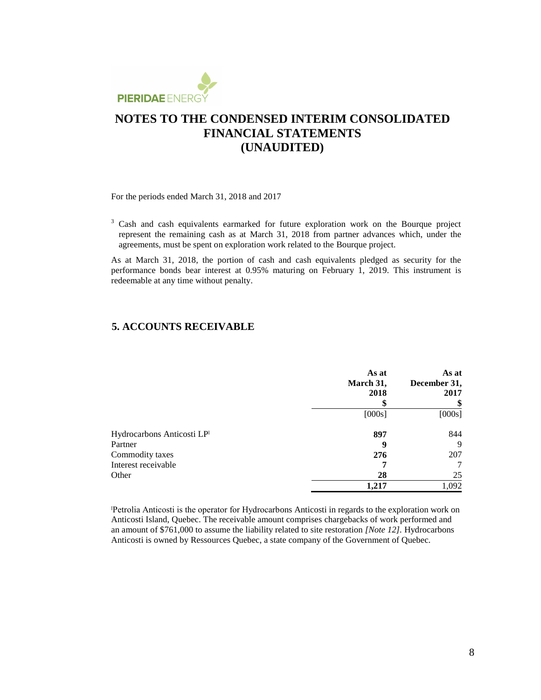

For the periods ended March 31, 2018 and 2017

<sup>3</sup> Cash and cash equivalents earmarked for future exploration work on the Bourque project represent the remaining cash as at March 31, 2018 from partner advances which, under the agreements, must be spent on exploration work related to the Bourque project.

As at March 31, 2018, the portion of cash and cash equivalents pledged as security for the performance bonds bear interest at 0.95% maturing on February 1, 2019. This instrument is redeemable at any time without penalty.

### **5. ACCOUNTS RECEIVABLE**

|                            | As at<br>March 31,<br>2018<br>S | As at<br>December 31,<br>2017 |
|----------------------------|---------------------------------|-------------------------------|
|                            | [000s]                          | [000s]                        |
| Hydrocarbons Anticosti LPI | 897                             | 844                           |
| Partner                    | 9                               | 9                             |
| Commodity taxes            | 276                             | 207                           |
| Interest receivable        |                                 |                               |
| Other                      | 28                              | 25                            |
|                            | 0.217                           | 1,092                         |

Petrolia Anticosti is the operator for Hydrocarbons Anticosti in regards to the exploration work on Anticosti Island, Quebec. The receivable amount comprises chargebacks of work performed and an amount of \$761,000 to assume the liability related to site restoration *[Note 12].* Hydrocarbons Anticosti is owned by Ressources Quebec, a state company of the Government of Quebec.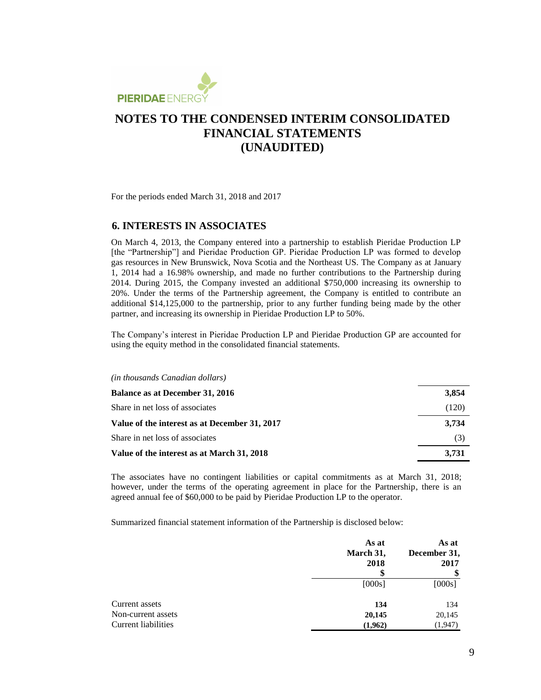

For the periods ended March 31, 2018 and 2017

#### **6. INTERESTS IN ASSOCIATES**

On March 4, 2013, the Company entered into a partnership to establish Pieridae Production LP [the "Partnership"] and Pieridae Production GP. Pieridae Production LP was formed to develop gas resources in New Brunswick, Nova Scotia and the Northeast US. The Company as at January 1, 2014 had a 16.98% ownership, and made no further contributions to the Partnership during 2014. During 2015, the Company invested an additional \$750,000 increasing its ownership to 20%. Under the terms of the Partnership agreement, the Company is entitled to contribute an additional \$14,125,000 to the partnership, prior to any further funding being made by the other partner, and increasing its ownership in Pieridae Production LP to 50%.

The Company's interest in Pieridae Production LP and Pieridae Production GP are accounted for using the equity method in the consolidated financial statements.

#### *(in thousands Canadian dollars)*

| <b>Balance as at December 31, 2016</b>        | 3,854 |
|-----------------------------------------------|-------|
| Share in net loss of associates               | (120) |
| Value of the interest as at December 31, 2017 | 3.734 |
| Share in net loss of associates               | (3)   |
| Value of the interest as at March 31, 2018    | 3,731 |

The associates have no contingent liabilities or capital commitments as at March 31, 2018; however, under the terms of the operating agreement in place for the Partnership, there is an agreed annual fee of \$60,000 to be paid by Pieridae Production LP to the operator.

Summarized financial statement information of the Partnership is disclosed below:

|                     | As at<br>March 31,<br>2018 | As at<br>December 31,<br>2017 |
|---------------------|----------------------------|-------------------------------|
|                     | S                          | \$                            |
|                     | [000s]                     | [000s]                        |
| Current assets      | 134                        | 134                           |
| Non-current assets  | 20,145                     | 20,145                        |
| Current liabilities | (1,962)                    | (1,947)                       |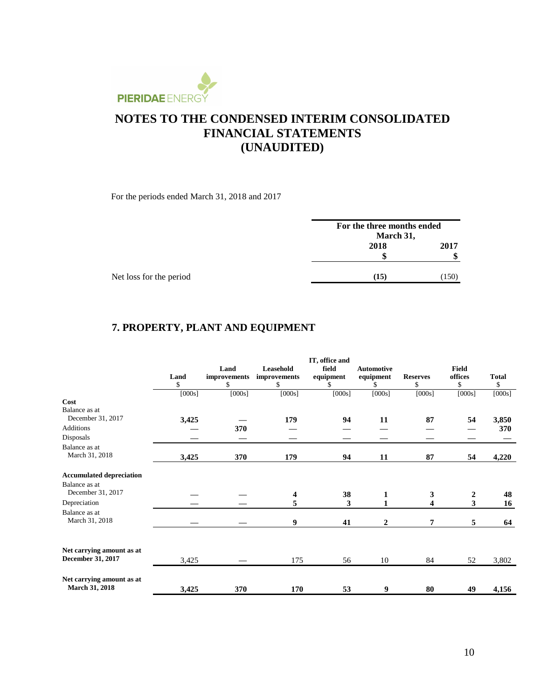

For the periods ended March 31, 2018 and 2017

| For the three months ended |           |  |
|----------------------------|-----------|--|
|                            |           |  |
| 2018                       | 2017      |  |
| S                          | ٨D        |  |
| (15)                       | (150)     |  |
|                            | March 31, |  |

## **7. PROPERTY, PLANT AND EQUIPMENT**

|                                 | IT, office and |              |              |           |                   |                 |                         |              |
|---------------------------------|----------------|--------------|--------------|-----------|-------------------|-----------------|-------------------------|--------------|
|                                 |                | Land         | Leasehold    | field     | <b>Automotive</b> |                 | <b>Field</b>            |              |
|                                 | Land           | improvements | improvements | equipment | equipment         | <b>Reserves</b> | offices                 | <b>Total</b> |
|                                 | \$             | \$           | \$           | \$        | S.                | \$              | \$                      | \$           |
|                                 | [000s]         | [000s]       | [000s]       | [000s]    | [000s]            | [000s]          | [000s]                  | [000s]       |
| Cost                            |                |              |              |           |                   |                 |                         |              |
| Balance as at                   |                |              |              |           |                   |                 |                         |              |
| December 31, 2017               | 3,425          |              | 179          | 94        | 11                | 87              | 54                      | 3,850        |
| <b>Additions</b>                |                | 370          |              |           |                   |                 |                         | 370          |
| Disposals                       |                |              |              |           |                   |                 |                         |              |
| Balance as at                   |                |              |              |           |                   |                 |                         |              |
| March 31, 2018                  | 3,425          | 370          | 179          | 94        | 11                | 87              | 54                      | 4,220        |
| <b>Accumulated depreciation</b> |                |              |              |           |                   |                 |                         |              |
| Balance as at                   |                |              |              |           |                   |                 |                         |              |
| December 31, 2017               |                |              | 4            | 38        | 1                 | 3               | $\boldsymbol{2}$        | 48           |
| Depreciation                    |                |              | 5            | 3         |                   | 4               | $\overline{\mathbf{3}}$ | 16           |
| Balance as at                   |                |              |              |           |                   |                 |                         |              |
| March 31, 2018                  |                |              | 9            | 41        | $\overline{2}$    | 7               | 5                       | 64           |
|                                 |                |              |              |           |                   |                 |                         |              |
| Net carrying amount as at       |                |              |              |           |                   |                 |                         |              |
| December 31, 2017               | 3,425          |              | 175          | 56        | 10                | 84              | 52                      | 3,802        |
| Net carrying amount as at       |                |              |              |           |                   |                 |                         |              |
| March 31, 2018                  | 3,425          | 370          | 170          | 53        | 9                 | 80              | 49                      | 4,156        |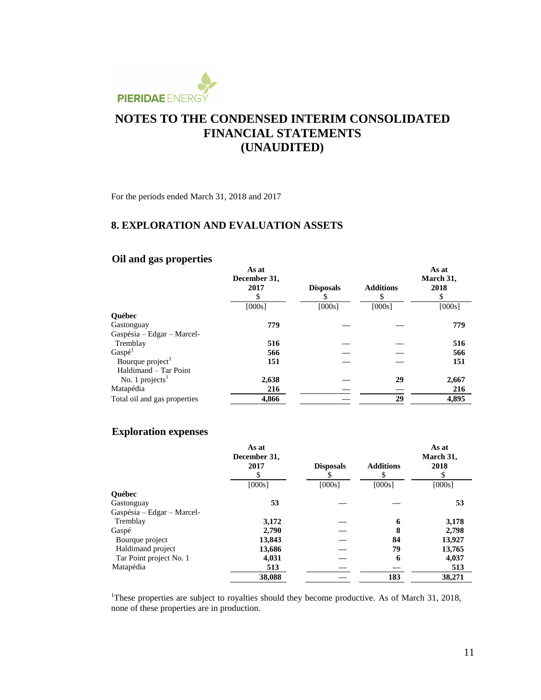

For the periods ended March 31, 2018 and 2017

### **8. EXPLORATION AND EVALUATION ASSETS**

## **Oil and gas properties**

|                              | As at<br>December 31,<br>2017 | <b>Disposals</b> | <b>Additions</b><br>\$ | As at<br>March 31,<br>2018<br>\$ |
|------------------------------|-------------------------------|------------------|------------------------|----------------------------------|
|                              | [000s]                        | [000s]           | [000s]                 | [000s]                           |
| <b>Ouébec</b>                |                               |                  |                        |                                  |
| Gastonguay                   | 779                           |                  |                        | 779                              |
| Gaspésia - Edgar - Marcel-   |                               |                  |                        |                                  |
| Tremblay                     | 516                           |                  |                        | 516                              |
| Gaspé <sup>1</sup>           | 566                           |                  |                        | 566                              |
| Bourque project <sup>1</sup> | 151                           |                  |                        | 151                              |
| Haldimand - Tar Point        |                               |                  |                        |                                  |
| No. 1 projects $1$           | 2,638                         |                  | 29                     | 2,667                            |
| Matapédia                    | 216                           |                  |                        | 216                              |
| Total oil and gas properties | 4,866                         |                  | 29                     | 4,895                            |

#### **Exploration expenses**

|                            | As at<br>December 31,<br>2017 | <b>Disposals</b> | <b>Additions</b> | As at<br>March 31,<br>2018 |
|----------------------------|-------------------------------|------------------|------------------|----------------------------|
|                            |                               |                  | J.               |                            |
|                            | [000s]                        | [000s]           | [000s]           | [000s]                     |
| <b>Ouébec</b>              |                               |                  |                  |                            |
| Gastonguay                 | 53                            |                  |                  | 53                         |
| Gaspésia – Edgar – Marcel- |                               |                  |                  |                            |
| Tremblay                   | 3,172                         |                  | 6                | 3,178                      |
| Gaspé                      | 2,790                         |                  | 8                | 2,798                      |
| Bourque project            | 13,843                        |                  | 84               | 13,927                     |
| Haldimand project          | 13,686                        |                  | 79               | 13,765                     |
| Tar Point project No. 1    | 4,031                         |                  | 6                | 4,037                      |
| Matapédia                  | 513                           |                  |                  | 513                        |
|                            | 38,088                        |                  | 183              | 38,271                     |

<sup>1</sup>These properties are subject to royalties should they become productive. As of March 31, 2018, none of these properties are in production.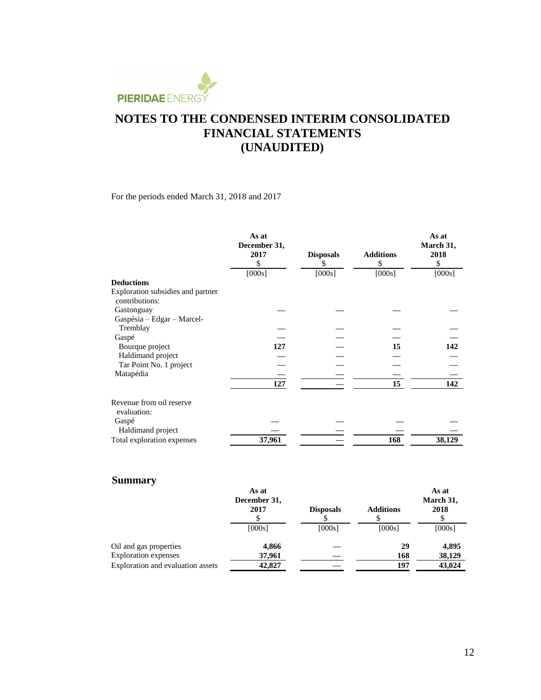

For the periods ended March 31, 2018 and 2017

|                                                     | As at<br>December 31,<br>2017<br>\$ | <b>Disposals</b><br>S | <b>Additions</b><br>\$ | As at<br>March 31,<br>2018<br>\$ |
|-----------------------------------------------------|-------------------------------------|-----------------------|------------------------|----------------------------------|
|                                                     | [000s]                              | [000s]                | [000s]                 | [000s]                           |
| <b>Deductions</b>                                   |                                     |                       |                        |                                  |
| Exploration subsidies and partner<br>contributions: |                                     |                       |                        |                                  |
| Gastonguay                                          |                                     |                       |                        |                                  |
| Gaspésia - Edgar - Marcel-                          |                                     |                       |                        |                                  |
| Tremblay                                            |                                     |                       |                        |                                  |
| Gaspé                                               |                                     |                       |                        |                                  |
| Bourque project                                     | 127                                 |                       | 15                     | 142                              |
| Haldimand project                                   |                                     |                       |                        |                                  |
| Tar Point No. 1 project                             |                                     |                       |                        |                                  |
| Matapédia                                           |                                     |                       |                        |                                  |
|                                                     | 127                                 |                       | 15                     | 142                              |
| Revenue from oil reserve<br>evaluation:             |                                     |                       |                        |                                  |
| Gaspé                                               |                                     |                       |                        |                                  |
| Haldimand project                                   |                                     |                       |                        |                                  |
| Total exploration expenses                          | 37,961                              |                       | 168                    | 38,129                           |

## **Summary**

|                                   | As at<br>December 31,<br>2017 | <b>Disposals</b> | <b>Additions</b> | As at<br>March 31,<br>2018 |  |
|-----------------------------------|-------------------------------|------------------|------------------|----------------------------|--|
|                                   | [000s]                        | [000s]           | [000s]           | [000s]                     |  |
| Oil and gas properties            | 4,866                         |                  | 29               | 4,895                      |  |
| <b>Exploration</b> expenses       | 37,961                        |                  | 168              | 38,129                     |  |
| Exploration and evaluation assets | 42,827                        |                  | 197              | 43,024                     |  |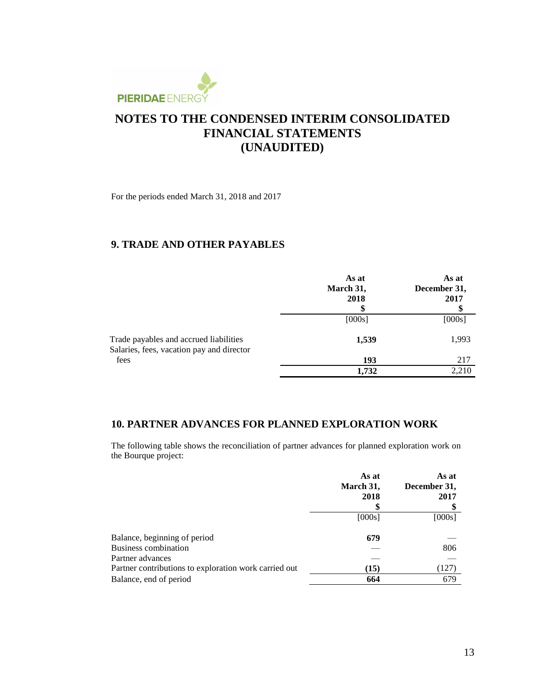

For the periods ended March 31, 2018 and 2017

### **9. TRADE AND OTHER PAYABLES**

|                                                                                     | As at<br>March 31,<br>2018 | As at<br>December 31,<br>2017 |
|-------------------------------------------------------------------------------------|----------------------------|-------------------------------|
|                                                                                     | [000s]                     | [000s]                        |
| Trade payables and accrued liabilities<br>Salaries, fees, vacation pay and director | 1,539                      | 1,993                         |
| fees                                                                                | 193                        | 217                           |
|                                                                                     | 1,732                      | 2,210                         |

### **10. PARTNER ADVANCES FOR PLANNED EXPLORATION WORK**

The following table shows the reconciliation of partner advances for planned exploration work on the Bourque project:

|                                                       | As at<br>March 31,<br>2018 | As at<br>December 31,<br>2017 |
|-------------------------------------------------------|----------------------------|-------------------------------|
|                                                       | [000s]                     | [000s]                        |
| Balance, beginning of period                          | 679                        |                               |
| <b>Business combination</b>                           |                            | 806                           |
| Partner advances                                      |                            |                               |
| Partner contributions to exploration work carried out | (15)                       | (127)                         |
| Balance, end of period                                | 664                        | 679                           |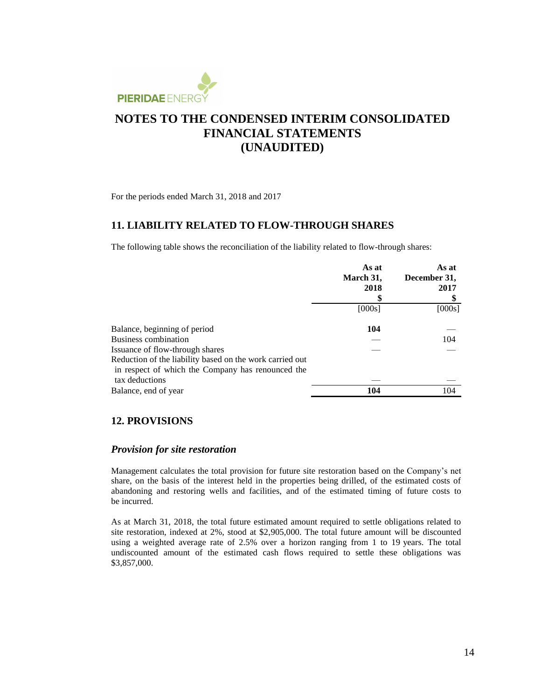

For the periods ended March 31, 2018 and 2017

### **11. LIABILITY RELATED TO FLOW-THROUGH SHARES**

The following table shows the reconciliation of the liability related to flow-through shares:

|                                                          | As at<br>March 31,<br>2018 | As at<br>December 31,<br>2017 |
|----------------------------------------------------------|----------------------------|-------------------------------|
|                                                          | [000s]                     | [000s]                        |
| Balance, beginning of period                             | 104                        |                               |
| Business combination                                     |                            | 104                           |
| Issuance of flow-through shares                          |                            |                               |
| Reduction of the liability based on the work carried out |                            |                               |
| in respect of which the Company has renounced the        |                            |                               |
| tax deductions                                           |                            |                               |
| Balance, end of year                                     | 104                        | 104                           |

### **12. PROVISIONS**

#### *Provision for site restoration*

Management calculates the total provision for future site restoration based on the Company's net share, on the basis of the interest held in the properties being drilled, of the estimated costs of abandoning and restoring wells and facilities, and of the estimated timing of future costs to be incurred.

As at March 31, 2018, the total future estimated amount required to settle obligations related to site restoration, indexed at 2%, stood at \$2,905,000. The total future amount will be discounted using a weighted average rate of 2.5% over a horizon ranging from 1 to 19 years. The total undiscounted amount of the estimated cash flows required to settle these obligations was \$3,857,000.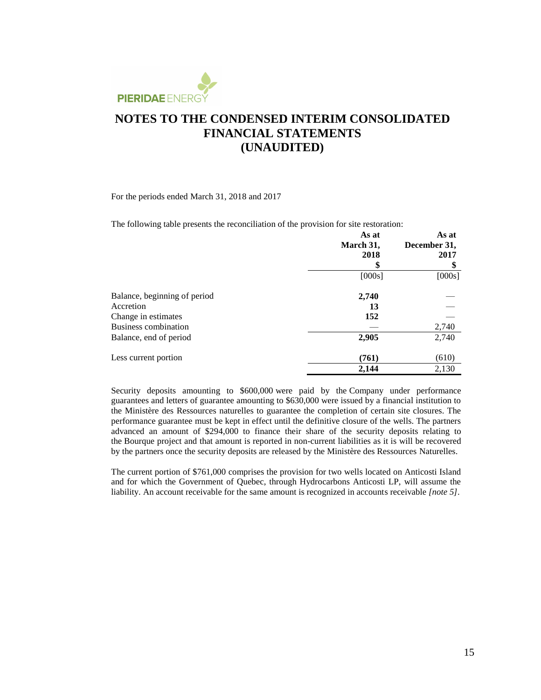

For the periods ended March 31, 2018 and 2017

The following table presents the reconciliation of the provision for site restoration:

|                              | As at<br>March 31, | As at<br>December 31, |  |
|------------------------------|--------------------|-----------------------|--|
|                              | 2018<br>\$         | 2017<br>\$            |  |
|                              | [000s]             | [000s]                |  |
| Balance, beginning of period | 2,740              |                       |  |
| Accretion                    | 13                 |                       |  |
| Change in estimates          | 152                |                       |  |
| <b>Business combination</b>  |                    | 2,740                 |  |
| Balance, end of period       | 2,905              | 2,740                 |  |
| Less current portion         | (761)              | (610)                 |  |
|                              | 2,144              | 2,130                 |  |

Security deposits amounting to \$600,000 were paid by the Company under performance guarantees and letters of guarantee amounting to \$630,000 were issued by a financial institution to the Ministère des Ressources naturelles to guarantee the completion of certain site closures. The performance guarantee must be kept in effect until the definitive closure of the wells. The partners advanced an amount of \$294,000 to finance their share of the security deposits relating to the Bourque project and that amount is reported in non-current liabilities as it is will be recovered by the partners once the security deposits are released by the Ministère des Ressources Naturelles.

The current portion of \$761,000 comprises the provision for two wells located on Anticosti Island and for which the Government of Quebec, through Hydrocarbons Anticosti LP, will assume the liability. An account receivable for the same amount is recognized in accounts receivable *[note 5]*.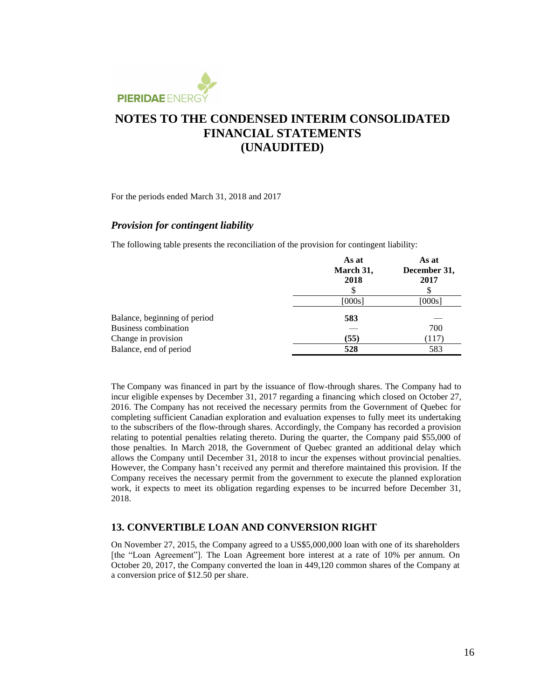

For the periods ended March 31, 2018 and 2017

#### *Provision for contingent liability*

The following table presents the reconciliation of the provision for contingent liability:

|                              | As at<br>March 31,<br>2018 | As at<br>December 31,<br>2017 |
|------------------------------|----------------------------|-------------------------------|
|                              | [000s]                     | [000s]                        |
| Balance, beginning of period | 583                        |                               |
| <b>Business combination</b>  |                            | 700                           |
| Change in provision          | (55)                       | (117)                         |
| Balance, end of period       | 528                        | 583                           |

The Company was financed in part by the issuance of flow-through shares. The Company had to incur eligible expenses by December 31, 2017 regarding a financing which closed on October 27, 2016. The Company has not received the necessary permits from the Government of Quebec for completing sufficient Canadian exploration and evaluation expenses to fully meet its undertaking to the subscribers of the flow-through shares. Accordingly, the Company has recorded a provision relating to potential penalties relating thereto. During the quarter, the Company paid \$55,000 of those penalties. In March 2018, the Government of Quebec granted an additional delay which allows the Company until December 31, 2018 to incur the expenses without provincial penalties. However, the Company hasn't received any permit and therefore maintained this provision. If the Company receives the necessary permit from the government to execute the planned exploration work, it expects to meet its obligation regarding expenses to be incurred before December 31, 2018.

#### **13. CONVERTIBLE LOAN AND CONVERSION RIGHT**

On November 27, 2015, the Company agreed to a US\$5,000,000 loan with one of its shareholders [the "Loan Agreement"]. The Loan Agreement bore interest at a rate of 10% per annum. On October 20, 2017, the Company converted the loan in 449,120 common shares of the Company at a conversion price of \$12.50 per share.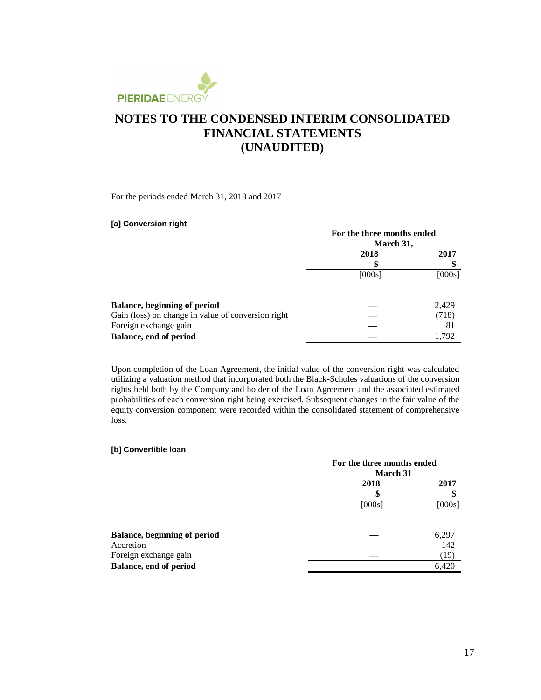

For the periods ended March 31, 2018 and 2017

#### **[a] Conversion right**

|                                                    | For the three months ended |        |  |
|----------------------------------------------------|----------------------------|--------|--|
|                                                    | March 31,                  |        |  |
|                                                    | 2018                       | 2017   |  |
|                                                    |                            |        |  |
|                                                    | [000s]                     | [000s] |  |
|                                                    |                            |        |  |
| <b>Balance, beginning of period</b>                |                            | 2,429  |  |
| Gain (loss) on change in value of conversion right |                            | (718)  |  |
| Foreign exchange gain                              |                            | 81     |  |
| Balance, end of period                             |                            | 1.792  |  |

Upon completion of the Loan Agreement, the initial value of the conversion right was calculated utilizing a valuation method that incorporated both the Black-Scholes valuations of the conversion rights held both by the Company and holder of the Loan Agreement and the associated estimated probabilities of each conversion right being exercised. Subsequent changes in the fair value of the equity conversion component were recorded within the consolidated statement of comprehensive loss.

#### **[b] Convertible loan**

|                                     |        | For the three months ended<br>March 31 |  |  |
|-------------------------------------|--------|----------------------------------------|--|--|
|                                     | 2018   | 2017                                   |  |  |
|                                     | [000s] | [000s]                                 |  |  |
| <b>Balance, beginning of period</b> |        | 6,297                                  |  |  |
| Accretion                           |        | 142                                    |  |  |
| Foreign exchange gain               |        | (19)                                   |  |  |
| Balance, end of period              |        | 6,420                                  |  |  |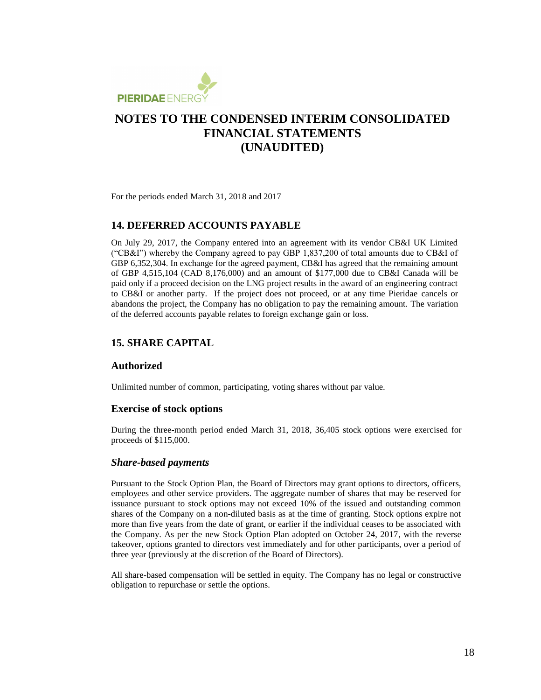

For the periods ended March 31, 2018 and 2017

### **14. DEFERRED ACCOUNTS PAYABLE**

On July 29, 2017, the Company entered into an agreement with its vendor CB&I UK Limited ("CB&I") whereby the Company agreed to pay GBP 1,837,200 of total amounts due to CB&I of GBP 6,352,304. In exchange for the agreed payment, CB&I has agreed that the remaining amount of GBP 4,515,104 (CAD 8,176,000) and an amount of \$177,000 due to CB&I Canada will be paid only if a proceed decision on the LNG project results in the award of an engineering contract to CB&I or another party. If the project does not proceed, or at any time Pieridae cancels or abandons the project, the Company has no obligation to pay the remaining amount. The variation of the deferred accounts payable relates to foreign exchange gain or loss.

### **15. SHARE CAPITAL**

#### **Authorized**

Unlimited number of common, participating, voting shares without par value.

#### **Exercise of stock options**

During the three-month period ended March 31, 2018, 36,405 stock options were exercised for proceeds of \$115,000.

#### *Share-based payments*

Pursuant to the Stock Option Plan, the Board of Directors may grant options to directors, officers, employees and other service providers. The aggregate number of shares that may be reserved for issuance pursuant to stock options may not exceed 10% of the issued and outstanding common shares of the Company on a non-diluted basis as at the time of granting. Stock options expire not more than five years from the date of grant, or earlier if the individual ceases to be associated with the Company. As per the new Stock Option Plan adopted on October 24, 2017, with the reverse takeover, options granted to directors vest immediately and for other participants, over a period of three year (previously at the discretion of the Board of Directors).

All share-based compensation will be settled in equity. The Company has no legal or constructive obligation to repurchase or settle the options.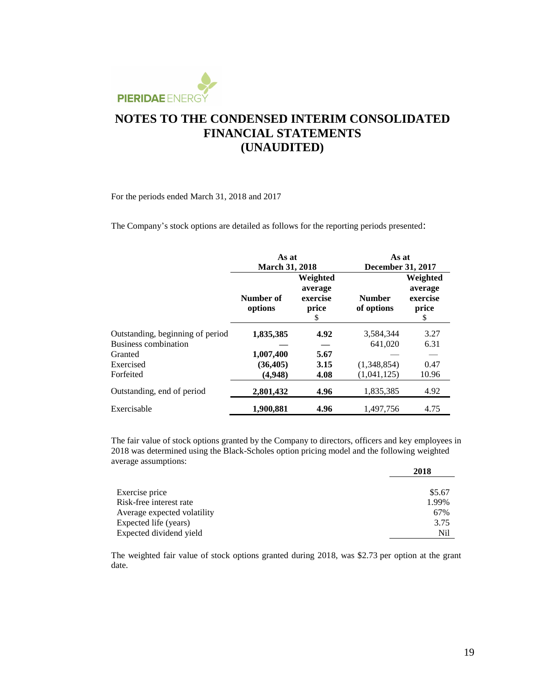

For the periods ended March 31, 2018 and 2017

The Company's stock options are detailed as follows for the reporting periods presented:

|                                  | As at<br><b>March 31, 2018</b>                                        |      | As at<br><b>December 31, 2017</b> |                                                |  |
|----------------------------------|-----------------------------------------------------------------------|------|-----------------------------------|------------------------------------------------|--|
|                                  |                                                                       |      |                                   |                                                |  |
|                                  | Weighted<br>average<br>Number of<br>exercise<br>options<br>price<br>S |      | <b>Number</b><br>of options       | Weighted<br>average<br>exercise<br>price<br>\$ |  |
| Outstanding, beginning of period | 1,835,385                                                             | 4.92 | 3,584,344                         | 3.27                                           |  |
| <b>Business combination</b>      |                                                                       |      | 641,020                           | 6.31                                           |  |
| Granted                          | 1,007,400                                                             | 5.67 |                                   |                                                |  |
| Exercised                        | (36, 405)                                                             | 3.15 | (1,348,854)                       | 0.47                                           |  |
| Forfeited                        | (4.948)                                                               | 4.08 | (1,041,125)                       | 10.96                                          |  |
| Outstanding, end of period       | 2,801,432                                                             | 4.96 | 1,835,385                         | 4.92                                           |  |
| Exercisable                      | 1,900,881                                                             | 4.96 | 1,497,756                         | 4.75                                           |  |

The fair value of stock options granted by the Company to directors, officers and key employees in 2018 was determined using the Black-Scholes option pricing model and the following weighted average assumptions:

|                             | 2018   |
|-----------------------------|--------|
|                             |        |
| Exercise price              | \$5.67 |
| Risk-free interest rate     | 1.99%  |
| Average expected volatility | 67%    |
| Expected life (years)       | 3.75   |
| Expected dividend yield     | Nil    |

The weighted fair value of stock options granted during 2018, was \$2.73 per option at the grant date.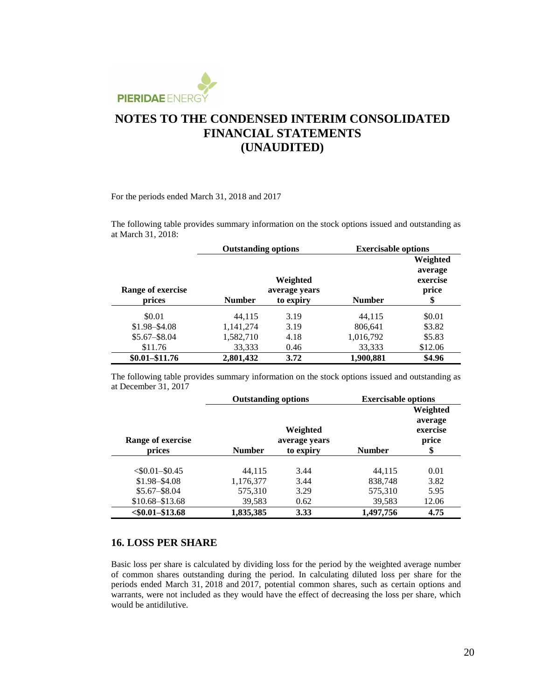

#### For the periods ended March 31, 2018 and 2017

The following table provides summary information on the stock options issued and outstanding as at March 31, 2018:

|                   | <b>Outstanding options</b> |                           | <b>Exercisable options</b> |                                          |
|-------------------|----------------------------|---------------------------|----------------------------|------------------------------------------|
| Range of exercise |                            | Weighted<br>average years |                            | Weighted<br>average<br>exercise<br>price |
| prices            | <b>Number</b>              | to expiry                 | <b>Number</b>              | \$                                       |
| \$0.01            | 44,115                     | 3.19                      | 44,115                     | \$0.01                                   |
| $$1.98 - $4.08$   | 1,141,274                  | 3.19                      | 806,641                    | \$3.82                                   |
| $$5.67 - $8.04$   | 1,582,710                  | 4.18                      | 1,016,792                  | \$5.83                                   |
| \$11.76           | 33,333                     | 0.46                      | 33,333                     | \$12.06                                  |
| $$0.01 - $11.76$  | 2,801,432                  | 3.72                      | 1,900,881                  | \$4.96                                   |

The following table provides summary information on the stock options issued and outstanding as at December 31, 2017

|                    | <b>Outstanding options</b> |           | <b>Exercisable options</b> |                                          |
|--------------------|----------------------------|-----------|----------------------------|------------------------------------------|
| Range of exercise  | Weighted<br>average years  |           |                            | Weighted<br>average<br>exercise<br>price |
| prices             | <b>Number</b>              | to expiry | <b>Number</b>              | \$                                       |
| $< $0.01 - $0.45$  | 44.115                     | 3.44      | 44.115                     | 0.01                                     |
| $$1.98 - $4.08$    | 1,176,377                  | 3.44      | 838,748                    | 3.82                                     |
| $$5.67 - $8.04$    | 575,310                    | 3.29      | 575,310                    | 5.95                                     |
| $$10.68 - $13.68$  | 39,583                     | 0.62      | 39,583                     | 12.06                                    |
| $< $0.01 - $13.68$ | 1,835,385                  | 3.33      | 1,497,756                  | 4.75                                     |

#### **16. LOSS PER SHARE**

Basic loss per share is calculated by dividing loss for the period by the weighted average number of common shares outstanding during the period. In calculating diluted loss per share for the periods ended March 31, 2018 and 2017, potential common shares, such as certain options and warrants, were not included as they would have the effect of decreasing the loss per share, which would be antidilutive.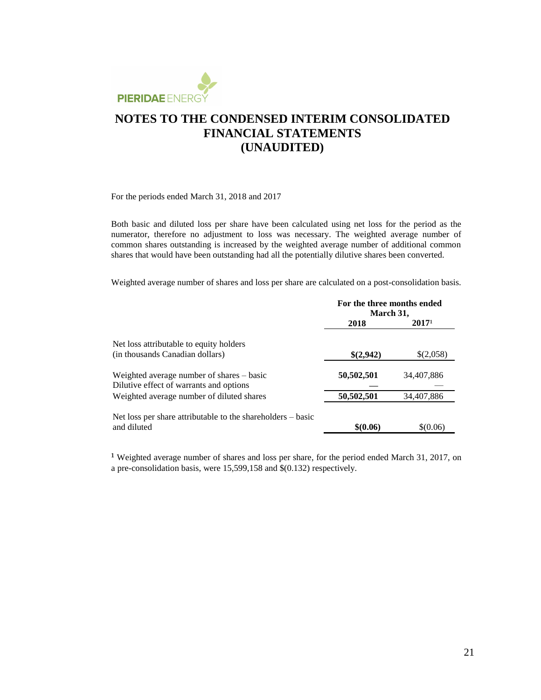

For the periods ended March 31, 2018 and 2017

Both basic and diluted loss per share have been calculated using net loss for the period as the numerator, therefore no adjustment to loss was necessary. The weighted average number of common shares outstanding is increased by the weighted average number of additional common shares that would have been outstanding had all the potentially dilutive shares been converted.

Weighted average number of shares and loss per share are calculated on a post-consolidation basis.

|                                                             | For the three months ended<br>March 31, |                   |
|-------------------------------------------------------------|-----------------------------------------|-------------------|
|                                                             | 2018                                    | 2017 <sup>1</sup> |
| Net loss attributable to equity holders                     |                                         |                   |
| (in thousands Canadian dollars)                             | \$(2,942)                               | \$(2,058)         |
| Weighted average number of shares – basic                   | 50,502,501                              | 34,407,886        |
| Dilutive effect of warrants and options                     |                                         |                   |
| Weighted average number of diluted shares                   | 50,502,501                              | 34,407,886        |
| Net loss per share attributable to the shareholders – basic |                                         |                   |
| and diluted                                                 | \$0.06\$                                | \$0.06            |

<sup>1</sup> Weighted average number of shares and loss per share, for the period ended March 31, 2017, on a pre-consolidation basis, were 15,599,158 and \$(0.132) respectively.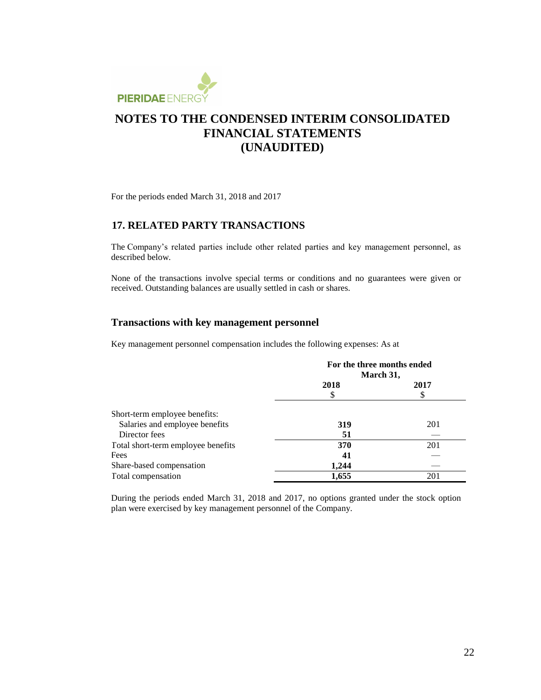

For the periods ended March 31, 2018 and 2017

### **17. RELATED PARTY TRANSACTIONS**

The Company's related parties include other related parties and key management personnel, as described below.

None of the transactions involve special terms or conditions and no guarantees were given or received. Outstanding balances are usually settled in cash or shares.

#### **Transactions with key management personnel**

Key management personnel compensation includes the following expenses: As at

|                                    | For the three months ended<br>March 31, |      |  |
|------------------------------------|-----------------------------------------|------|--|
|                                    | 2018<br>\$                              | 2017 |  |
| Short-term employee benefits:      |                                         |      |  |
| Salaries and employee benefits     | 319                                     | 201  |  |
| Director fees                      | 51                                      |      |  |
| Total short-term employee benefits | 370                                     | 201  |  |
| Fees                               | 41                                      |      |  |
| Share-based compensation           | 1.244                                   |      |  |
| Total compensation                 | 1,655                                   | 201  |  |

During the periods ended March 31, 2018 and 2017, no options granted under the stock option plan were exercised by key management personnel of the Company.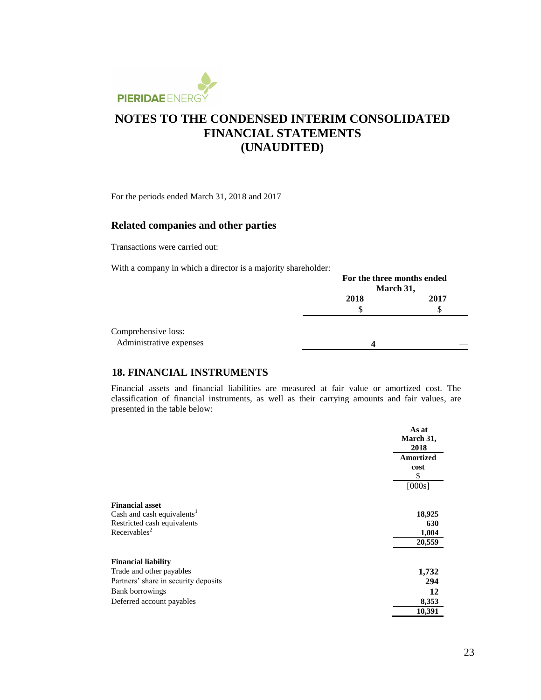

For the periods ended March 31, 2018 and 2017

### **Related companies and other parties**

Transactions were carried out:

With a company in which a director is a majority shareholder:

|                         | For the three months ended<br>March 31, |      |  |
|-------------------------|-----------------------------------------|------|--|
|                         | 2018                                    | 2017 |  |
|                         | S                                       | S    |  |
| Comprehensive loss:     |                                         |      |  |
| Administrative expenses | Δ                                       |      |  |

### **18. FINANCIAL INSTRUMENTS**

Financial assets and financial liabilities are measured at fair value or amortized cost. The classification of financial instruments, as well as their carrying amounts and fair values, are presented in the table below:

|                                        | As at<br>March 31,<br>2018 |
|----------------------------------------|----------------------------|
|                                        | <b>Amortized</b><br>cost   |
|                                        | \$<br>[000s]               |
| <b>Financial asset</b>                 |                            |
| Cash and cash equivalents <sup>1</sup> | 18,925                     |
| Restricted cash equivalents            | 630                        |
| Receivables <sup>2</sup>               | 1,004                      |
|                                        | 20,559                     |
| <b>Financial liability</b>             |                            |
| Trade and other payables               | 1,732                      |
| Partners' share in security deposits   | 294                        |
| <b>Bank borrowings</b>                 | 12                         |
| Deferred account payables              | 8,353                      |
|                                        | 10,391                     |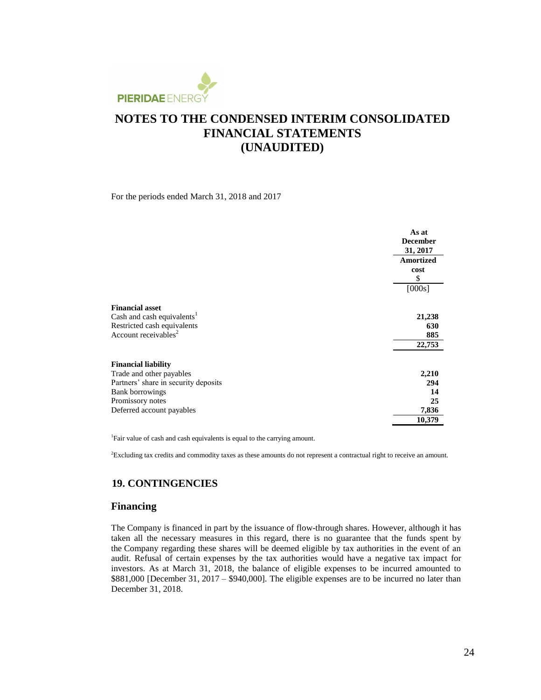

For the periods ended March 31, 2018 and 2017

|                                        | As at<br><b>December</b><br>31, 2017<br><b>Amortized</b><br>cost<br>\$ |
|----------------------------------------|------------------------------------------------------------------------|
|                                        | [000s]                                                                 |
| <b>Financial asset</b>                 |                                                                        |
| Cash and cash equivalents <sup>1</sup> | 21,238                                                                 |
| Restricted cash equivalents            | 630                                                                    |
| Account receivables <sup>2</sup>       | 885                                                                    |
|                                        | 22,753                                                                 |
| <b>Financial liability</b>             |                                                                        |
| Trade and other payables               | 2,210                                                                  |
| Partners' share in security deposits   | 294                                                                    |
| <b>Bank borrowings</b>                 | 14                                                                     |
| Promissory notes                       | 25                                                                     |
| Deferred account payables              | 7,836                                                                  |
|                                        | 10,379                                                                 |

<sup>1</sup>Fair value of cash and cash equivalents is equal to the carrying amount.

<sup>2</sup>Excluding tax credits and commodity taxes as these amounts do not represent a contractual right to receive an amount.

#### **19. CONTINGENCIES**

#### **Financing**

The Company is financed in part by the issuance of flow-through shares. However, although it has taken all the necessary measures in this regard, there is no guarantee that the funds spent by the Company regarding these shares will be deemed eligible by tax authorities in the event of an audit. Refusal of certain expenses by the tax authorities would have a negative tax impact for investors. As at March 31, 2018, the balance of eligible expenses to be incurred amounted to \$881,000 [December 31, 2017 – \$940,000]. The eligible expenses are to be incurred no later than December 31, 2018.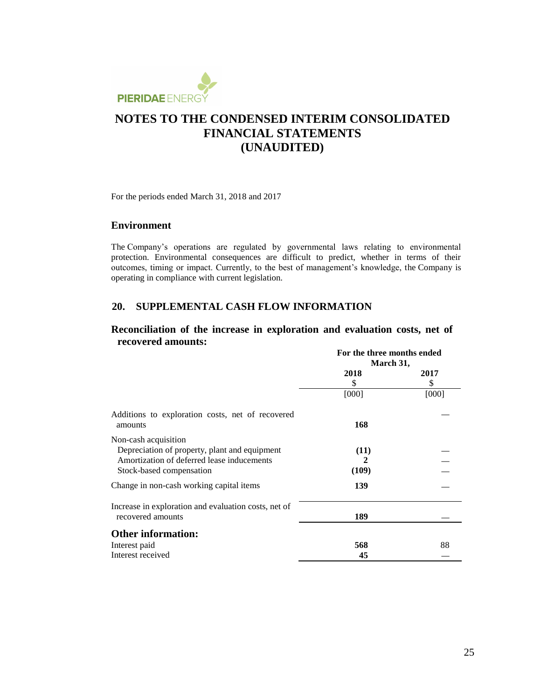

For the periods ended March 31, 2018 and 2017

#### **Environment**

The Company's operations are regulated by governmental laws relating to environmental protection. Environmental consequences are difficult to predict, whether in terms of their outcomes, timing or impact. Currently, to the best of management's knowledge, the Company is operating in compliance with current legislation.

### **20. SUPPLEMENTAL CASH FLOW INFORMATION**

### **Reconciliation of the increase in exploration and evaluation costs, net of recovered amounts:**

|                                                                                                                                                 | For the three months ended<br>March 31, |            |
|-------------------------------------------------------------------------------------------------------------------------------------------------|-----------------------------------------|------------|
|                                                                                                                                                 | 2018<br>\$                              | 2017<br>\$ |
|                                                                                                                                                 | [000]                                   | [000]      |
| Additions to exploration costs, net of recovered<br>amounts                                                                                     | 168                                     |            |
| Non-cash acquisition<br>Depreciation of property, plant and equipment<br>Amortization of deferred lease inducements<br>Stock-based compensation | (11)<br>2<br>(109)                      |            |
| Change in non-cash working capital items                                                                                                        | 139                                     |            |
| Increase in exploration and evaluation costs, net of<br>recovered amounts                                                                       | 189                                     |            |
| <b>Other information:</b>                                                                                                                       |                                         |            |
| Interest paid                                                                                                                                   | 568                                     | 88         |
| Interest received                                                                                                                               | 45                                      |            |